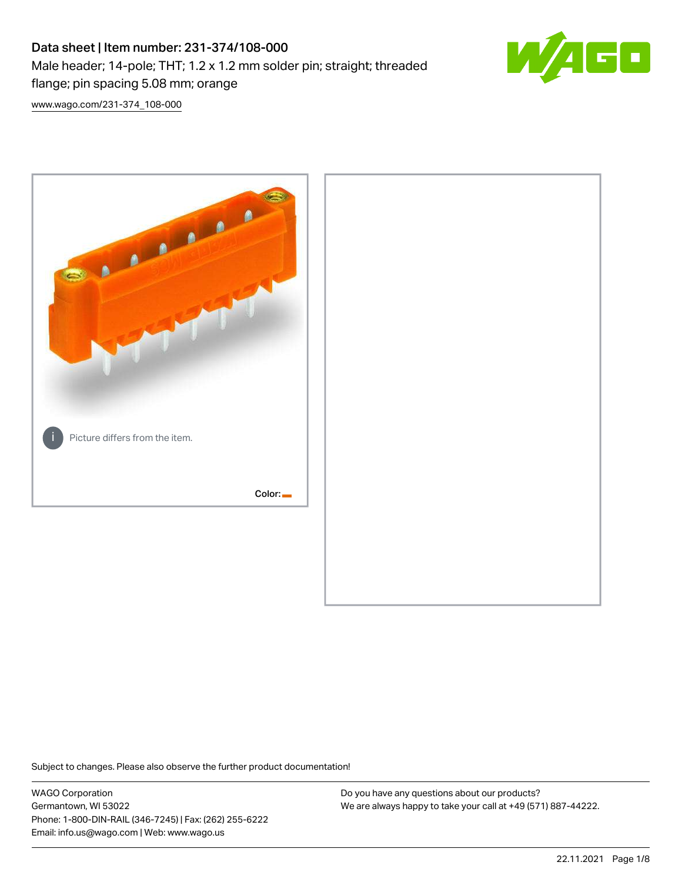# Data sheet | Item number: 231-374/108-000 Male header; 14-pole; THT; 1.2 x 1.2 mm solder pin; straight; threaded flange; pin spacing 5.08 mm; orange



[www.wago.com/231-374\\_108-000](http://www.wago.com/231-374_108-000)



Subject to changes. Please also observe the further product documentation!

WAGO Corporation Germantown, WI 53022 Phone: 1-800-DIN-RAIL (346-7245) | Fax: (262) 255-6222 Email: info.us@wago.com | Web: www.wago.us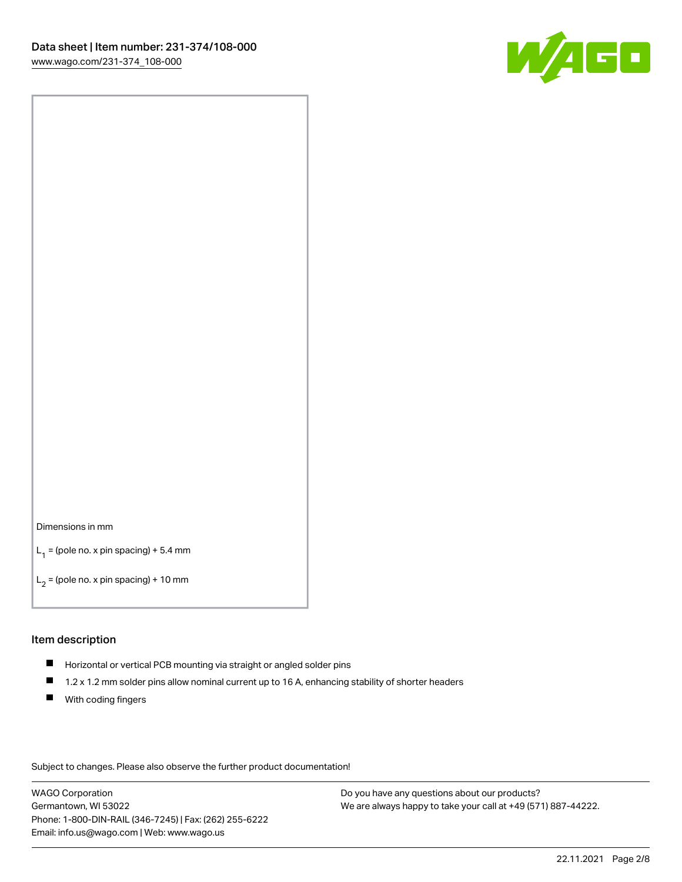

#### Dimensions in mm

 $L_1$  = (pole no. x pin spacing) + 5.4 mm

 $L_2$  = (pole no. x pin spacing) + 10 mm

#### Item description

- Horizontal or vertical PCB mounting via straight or angled solder pins
- $\blacksquare$ 1.2 x 1.2 mm solder pins allow nominal current up to 16 A, enhancing stability of shorter headers
- **With coding fingers**

Subject to changes. Please also observe the further product documentation!

WAGO Corporation Germantown, WI 53022 Phone: 1-800-DIN-RAIL (346-7245) | Fax: (262) 255-6222 Email: info.us@wago.com | Web: www.wago.us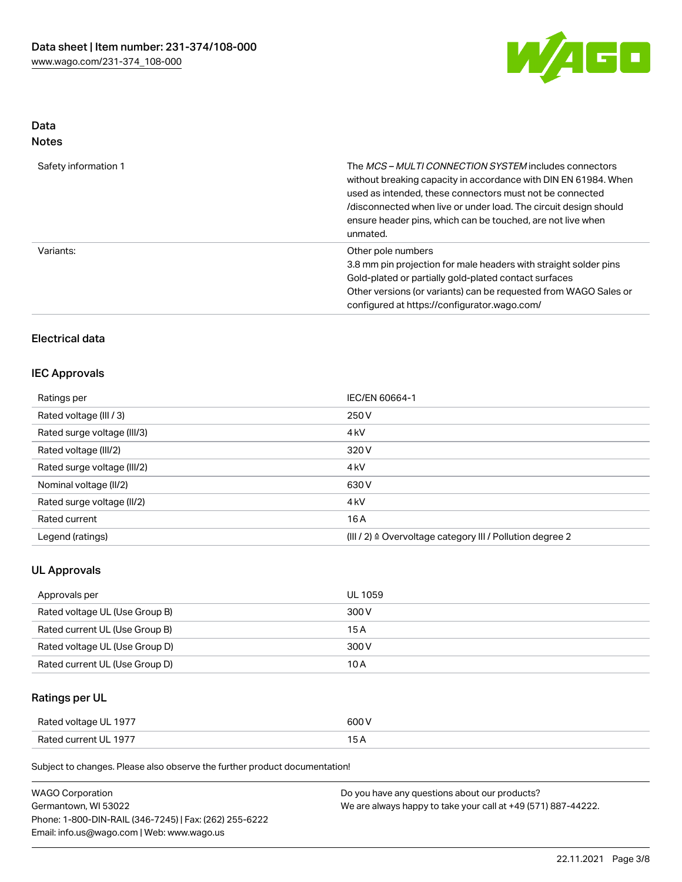

## Data Notes

| Safety information 1 | The <i>MCS – MULTI CONNECTION SYSTEM</i> includes connectors<br>without breaking capacity in accordance with DIN EN 61984. When<br>used as intended, these connectors must not be connected<br>/disconnected when live or under load. The circuit design should<br>ensure header pins, which can be touched, are not live when<br>unmated. |
|----------------------|--------------------------------------------------------------------------------------------------------------------------------------------------------------------------------------------------------------------------------------------------------------------------------------------------------------------------------------------|
| Variants:            | Other pole numbers<br>3.8 mm pin projection for male headers with straight solder pins<br>Gold-plated or partially gold-plated contact surfaces<br>Other versions (or variants) can be requested from WAGO Sales or<br>configured at https://configurator.wago.com/                                                                        |

## Electrical data

## IEC Approvals

| Ratings per                 | IEC/EN 60664-1                                            |
|-----------------------------|-----------------------------------------------------------|
| Rated voltage (III / 3)     | 250 V                                                     |
| Rated surge voltage (III/3) | 4 <sub>kV</sub>                                           |
| Rated voltage (III/2)       | 320 V                                                     |
| Rated surge voltage (III/2) | 4 <sub>kV</sub>                                           |
| Nominal voltage (II/2)      | 630 V                                                     |
| Rated surge voltage (II/2)  | 4 <sub>k</sub> V                                          |
| Rated current               | 16A                                                       |
| Legend (ratings)            | (III / 2) ≙ Overvoltage category III / Pollution degree 2 |

## UL Approvals

| Approvals per                  | UL 1059 |
|--------------------------------|---------|
| Rated voltage UL (Use Group B) | 300 V   |
| Rated current UL (Use Group B) | 15 A    |
| Rated voltage UL (Use Group D) | 300 V   |
| Rated current UL (Use Group D) | 10 A    |

## Ratings per UL

| Rated voltage UL 1977 | 600 V          |
|-----------------------|----------------|
| Rated current UL 1977 | $\overline{ }$ |

Subject to changes. Please also observe the further product documentation!

| <b>WAGO Corporation</b>                                | Do you have any questions about our products?                 |
|--------------------------------------------------------|---------------------------------------------------------------|
| Germantown, WI 53022                                   | We are always happy to take your call at +49 (571) 887-44222. |
| Phone: 1-800-DIN-RAIL (346-7245)   Fax: (262) 255-6222 |                                                               |
| Email: info.us@wago.com   Web: www.wago.us             |                                                               |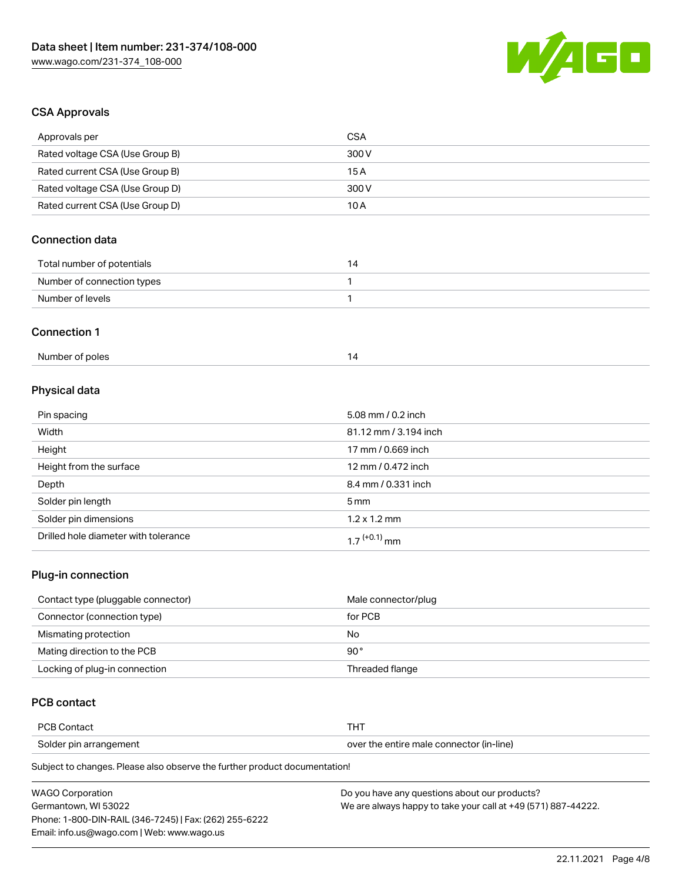

### CSA Approvals

| Approvals per                   | <b>CSA</b>            |  |
|---------------------------------|-----------------------|--|
| Rated voltage CSA (Use Group B) | 300V                  |  |
| Rated current CSA (Use Group B) | 15A                   |  |
| Rated voltage CSA (Use Group D) | 300 V                 |  |
| Rated current CSA (Use Group D) | 10A                   |  |
| <b>Connection data</b>          |                       |  |
| Total number of potentials      | 14                    |  |
| Number of connection types      | 1                     |  |
| Number of levels                | 1                     |  |
| <b>Connection 1</b>             |                       |  |
| Number of poles                 | 14                    |  |
| Physical data                   |                       |  |
| Pin spacing                     | 5.08 mm / 0.2 inch    |  |
| Width                           | 81.12 mm / 3.194 inch |  |
| Height                          | 17 mm / 0.669 inch    |  |
| Height from the surface         | 12 mm $/0.472$ inch   |  |

| Height from the surface              | 12 mm / 0.472 inch         |
|--------------------------------------|----------------------------|
| Depth                                | 8.4 mm / 0.331 inch        |
| Solder pin length                    | 5 mm                       |
| Solder pin dimensions                | $1.2 \times 1.2$ mm        |
| Drilled hole diameter with tolerance | $1.7$ <sup>(+0.1)</sup> mm |

## Plug-in connection

| Contact type (pluggable connector) | Male connector/plug |
|------------------------------------|---------------------|
| Connector (connection type)        | for PCB             |
| Mismating protection               | No                  |
| Mating direction to the PCB        | 90°                 |
| Locking of plug-in connection      | Threaded flange     |

## PCB contact

| PCB Contact            |                                          |
|------------------------|------------------------------------------|
| Solder pin arrangement | over the entire male connector (in-line) |

Subject to changes. Please also observe the further product documentation!

| <b>WAGO Corporation</b>                                | Do you have any questions about our products?                 |
|--------------------------------------------------------|---------------------------------------------------------------|
| Germantown, WI 53022                                   | We are always happy to take your call at +49 (571) 887-44222. |
| Phone: 1-800-DIN-RAIL (346-7245)   Fax: (262) 255-6222 |                                                               |
| Email: info.us@wago.com   Web: www.wago.us             |                                                               |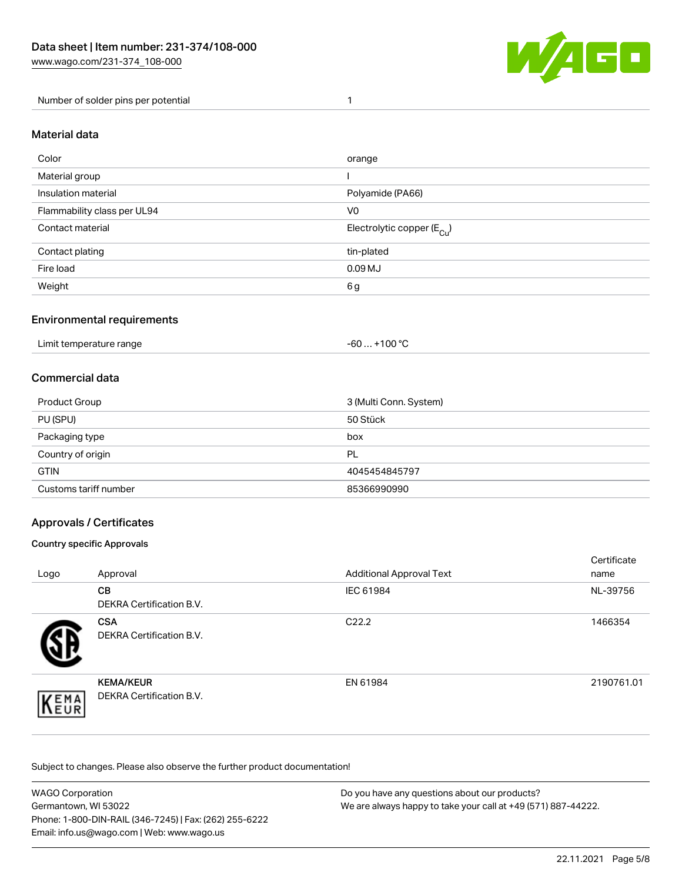

Number of solder pins per potential 1

## Material data

| Color                       | orange                                 |
|-----------------------------|----------------------------------------|
| Material group              |                                        |
| Insulation material         | Polyamide (PA66)                       |
| Flammability class per UL94 | V <sub>0</sub>                         |
| Contact material            | Electrolytic copper (E <sub>Cu</sub> ) |
| Contact plating             | tin-plated                             |
| Fire load                   | 0.09 <sub>MJ</sub>                     |
| Weight                      | 6g                                     |

#### Environmental requirements

Limit temperature range  $-60...+100 °C$ 

#### Commercial data

| Product Group         | 3 (Multi Conn. System) |
|-----------------------|------------------------|
| PU (SPU)              | 50 Stück               |
| Packaging type        | box                    |
| Country of origin     | PL                     |
| <b>GTIN</b>           | 4045454845797          |
| Customs tariff number | 85366990990            |

#### Approvals / Certificates

#### Country specific Approvals

| Logo                | Approval                                     | <b>Additional Approval Text</b> | Certificate<br>name |
|---------------------|----------------------------------------------|---------------------------------|---------------------|
|                     | <b>CB</b><br><b>DEKRA Certification B.V.</b> | IEC 61984                       | NL-39756            |
|                     | <b>CSA</b><br>DEKRA Certification B.V.       | C <sub>22.2</sub>               | 1466354             |
| EMA<br><b>INEUR</b> | <b>KEMA/KEUR</b><br>DEKRA Certification B.V. | EN 61984                        | 2190761.01          |

Subject to changes. Please also observe the further product documentation!

| <b>WAGO Corporation</b>                                | Do you have any questions about our products?                 |
|--------------------------------------------------------|---------------------------------------------------------------|
| Germantown, WI 53022                                   | We are always happy to take your call at +49 (571) 887-44222. |
| Phone: 1-800-DIN-RAIL (346-7245)   Fax: (262) 255-6222 |                                                               |
| Email: info.us@wago.com   Web: www.wago.us             |                                                               |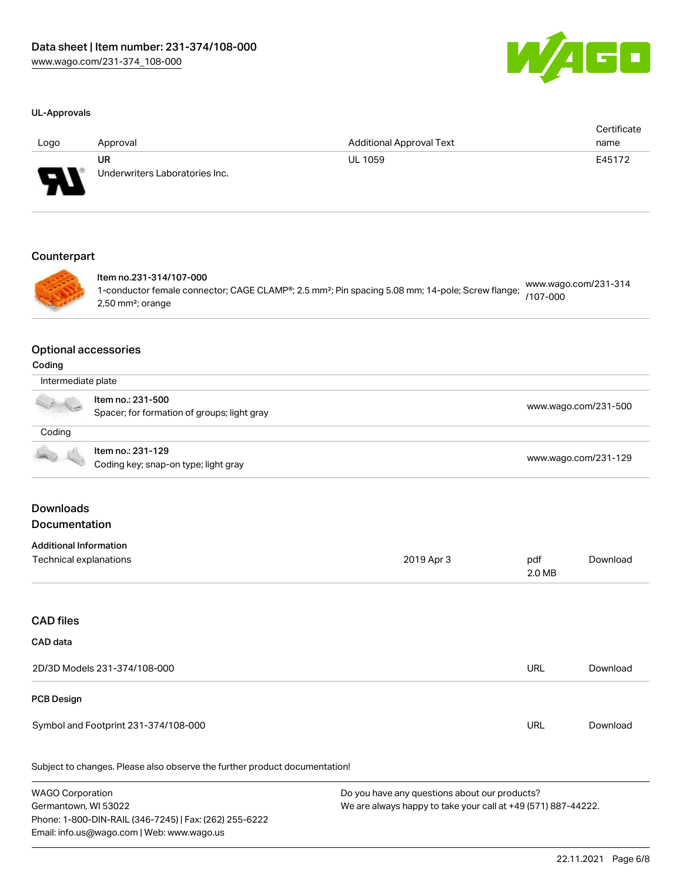

#### UL-Approvals

| Logo    | Approval                             | <b>Additional Approval Text</b> | Certificate<br>name |
|---------|--------------------------------------|---------------------------------|---------------------|
| J<br>WП | UR<br>Underwriters Laboratories Inc. | <b>UL 1059</b>                  | E45172              |

#### **Counterpart**



Item no.231-314/107-000 1-conductor female connector; CAGE CLAMP®; 2.5 mm²; Pin spacing 5.08 mm; 14-pole; Screw flange; 2,50 mm²; orange [www.wago.com/231-314](https://www.wago.com/231-314/107-000) [/107-000](https://www.wago.com/231-314/107-000)

#### Optional accessories

| Intermediate plate |                                                                  |                      |
|--------------------|------------------------------------------------------------------|----------------------|
|                    | Item no.: 231-500<br>Spacer; for formation of groups; light gray | www.wago.com/231-500 |
| Coding             |                                                                  |                      |
|                    | Item no.: 231-129<br>Coding key; snap-on type; light gray        | www.wago.com/231-129 |
|                    |                                                                  |                      |

#### Downloads **Documentation**

#### Additional Information

| Technical explanations | 2019 Apr 3 | pdf      | Download |
|------------------------|------------|----------|----------|
|                        |            | $2.0$ MB |          |

## CAD files

| CAD data                             |            |          |
|--------------------------------------|------------|----------|
| 2D/3D Models 231-374/108-000         | <b>URL</b> | Download |
| PCB Design                           |            |          |
| Symbol and Footprint 231-374/108-000 | URL        | Download |

Subject to changes. Please also observe the further product documentation!

WAGO Corporation Germantown, WI 53022 Phone: 1-800-DIN-RAIL (346-7245) | Fax: (262) 255-6222 Email: info.us@wago.com | Web: www.wago.us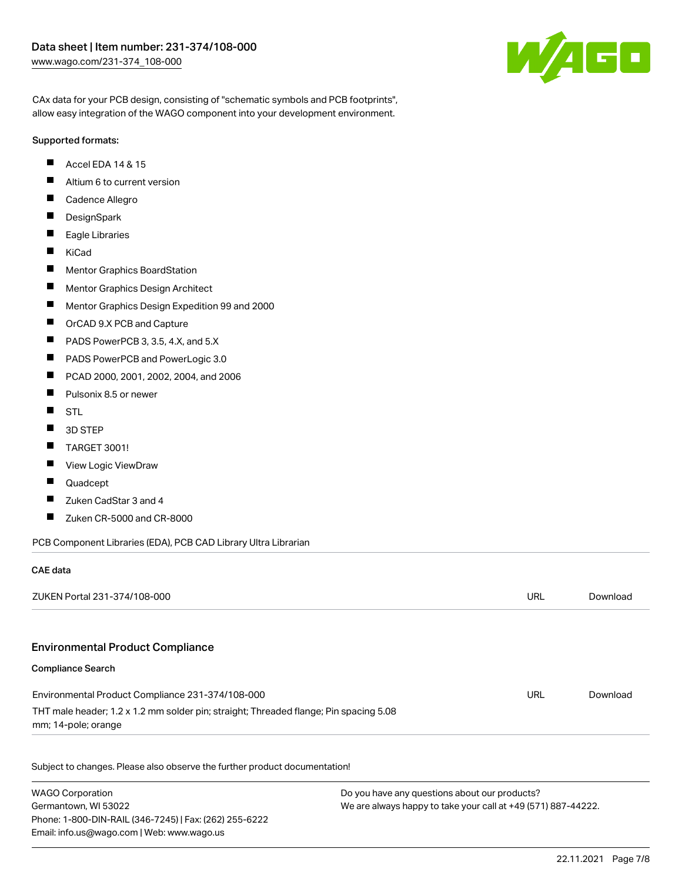

CAx data for your PCB design, consisting of "schematic symbols and PCB footprints", allow easy integration of the WAGO component into your development environment.

#### Supported formats:

- $\blacksquare$ Accel EDA 14 & 15
- $\blacksquare$ Altium 6 to current version
- $\blacksquare$ Cadence Allegro
- $\blacksquare$ **DesignSpark**
- $\blacksquare$ Eagle Libraries
- $\blacksquare$ KiCad
- $\blacksquare$ Mentor Graphics BoardStation
- $\blacksquare$ Mentor Graphics Design Architect
- $\blacksquare$ Mentor Graphics Design Expedition 99 and 2000
- П OrCAD 9.X PCB and Capture
- $\blacksquare$ PADS PowerPCB 3, 3.5, 4.X, and 5.X
- $\blacksquare$ PADS PowerPCB and PowerLogic 3.0
- $\blacksquare$ PCAD 2000, 2001, 2002, 2004, and 2006
- $\blacksquare$ Pulsonix 8.5 or newer
- $\blacksquare$ STL
- $\blacksquare$ 3D STEP
- $\blacksquare$ TARGET 3001!
- $\blacksquare$ View Logic ViewDraw
- П Quadcept

 $\sim$   $\sim$   $\sim$ 

- $\blacksquare$ Zuken CadStar 3 and 4
- $\blacksquare$ Zuken CR-5000 and CR-8000

PCB Component Libraries (EDA), PCB CAD Library Ultra Librarian

Phone: 1-800-DIN-RAIL (346-7245) | Fax: (262) 255-6222

Email: info.us@wago.com | Web: www.wago.us

| CAE data                                                                                                     |                                               |            |          |
|--------------------------------------------------------------------------------------------------------------|-----------------------------------------------|------------|----------|
| ZUKEN Portal 231-374/108-000                                                                                 |                                               | <b>URL</b> | Download |
| <b>Environmental Product Compliance</b>                                                                      |                                               |            |          |
| <b>Compliance Search</b>                                                                                     |                                               |            |          |
| Environmental Product Compliance 231-374/108-000                                                             |                                               | <b>URL</b> | Download |
| THT male header; 1.2 x 1.2 mm solder pin; straight; Threaded flange; Pin spacing 5.08<br>mm; 14-pole; orange |                                               |            |          |
| Subject to changes. Please also observe the further product documentation!                                   |                                               |            |          |
| <b>WAGO Corporation</b>                                                                                      | Do you have any questions about our products? |            |          |
| Germantown, WI 53022<br>We are always happy to take your call at +49 (571) 887-44222.                        |                                               |            |          |

We are always happy to take your call at +49 (571) 887-44222.